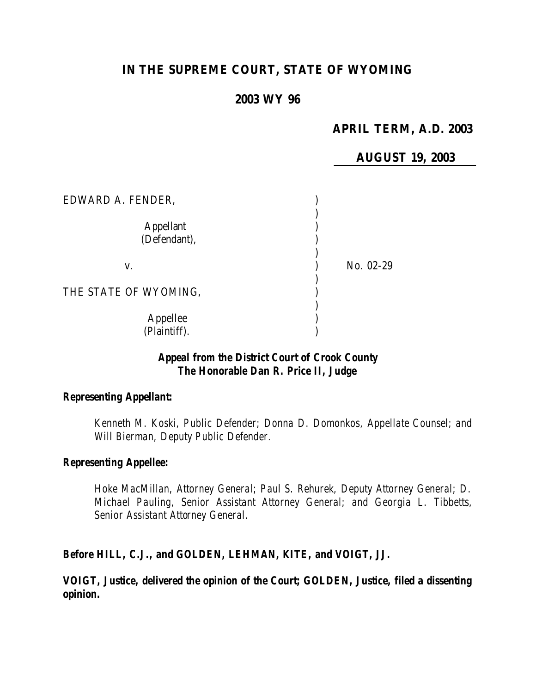# **IN THE SUPREME COURT, STATE OF WYOMING**

# **2003 WY 96**

# **APRIL TERM, A.D. 2003**

**AUGUST 19, 2003**

| EDWARD A. FENDER,                |           |
|----------------------------------|-----------|
| <b>Appellant</b><br>(Defendant), |           |
| V.                               | No. 02-29 |
| THE STATE OF WYOMING,            |           |
| Appellee<br>(Plaintiff).         |           |

# *Appeal from the District Court of Crook County The Honorable Dan R. Price II, Judge*

#### *Representing Appellant:*

*Kenneth M. Koski, Public Defender; Donna D. Domonkos, Appellate Counsel; and Will Bierman, Deputy Public Defender.*

#### *Representing Appellee:*

*Hoke MacMillan, Attorney General; Paul S. Rehurek, Deputy Attorney General; D. Michael Pauling, Senior Assistant Attorney General; and Georgia L. Tibbetts, Senior Assistant Attorney General.*

*Before HILL, C.J., and GOLDEN, LEHMAN, KITE, and VOIGT, JJ.*

*VOIGT, Justice, delivered the opinion of the Court; GOLDEN, Justice, filed a dissenting opinion.*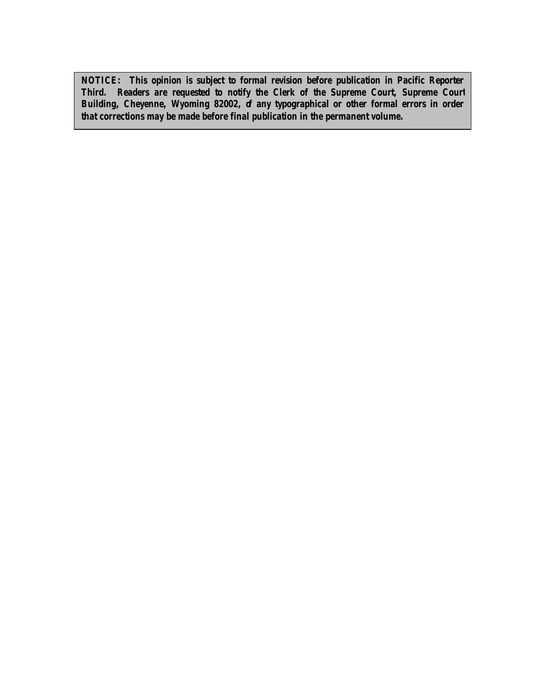*NOTICE: This opinion is subject to formal revision before publication in Pacific Reporter Third. Readers are requested to notify the Clerk of the Supreme Court, Supreme Court Building, Cheyenne, Wyoming 82002, of any typographical or other formal errors in order that corrections may be made before final publication in the permanent volume.*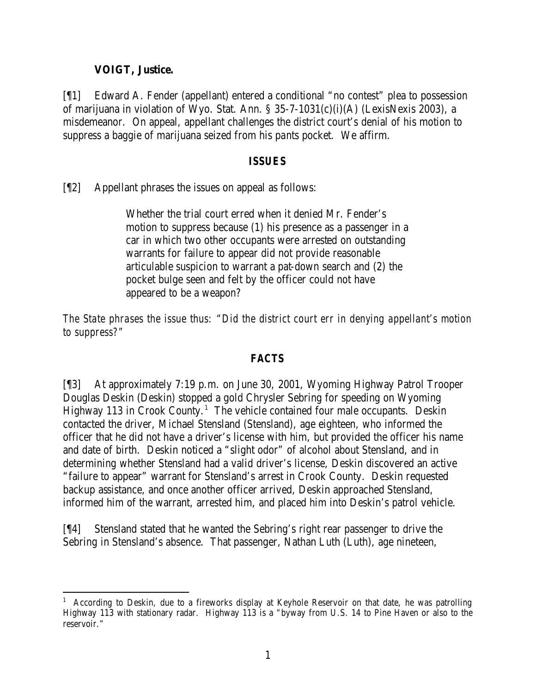### **VOIGT, Justice.**

[¶1] Edward A. Fender (appellant) entered a conditional "no contest" plea to possession of marijuana in violation of Wyo. Stat. Ann. § 35-7-1031(c)(i)(A) (LexisNexis 2003), a misdemeanor. On appeal, appellant challenges the district court's denial of his motion to suppress a baggie of marijuana seized from his pants pocket. We affirm.

### *ISSUES*

[¶2] Appellant phrases the issues on appeal as follows:

Whether the trial court erred when it denied Mr. Fender's motion to suppress because (1) his presence as a passenger in a car in which two other occupants were arrested on outstanding warrants for failure to appear did not provide reasonable articulable suspicion to warrant a pat-down search and (2) the pocket bulge seen and felt by the officer could not have appeared to be a weapon?

*The State phrases the issue thus: "Did the district court err in denying appellant's motion to suppress?"*

### *FACTS*

[¶3] At approximately 7:19 p.m. on June 30, 2001, Wyoming Highway Patrol Trooper Douglas Deskin (Deskin) stopped a gold Chrysler Sebring for speeding on Wyoming Highway 113 in Crook County.<sup>1</sup> The vehicle contained four male occupants. Deskin contacted the driver, Michael Stensland (Stensland), age eighteen, who informed the officer that he did not have a driver's license with him, but provided the officer his name and date of birth. Deskin noticed a "slight odor" of alcohol about Stensland, and in determining whether Stensland had a valid driver's license, Deskin discovered an active "failure to appear" warrant for Stensland's arrest in Crook County. Deskin requested backup assistance, and once another officer arrived, Deskin approached Stensland, informed him of the warrant, arrested him, and placed him into Deskin's patrol vehicle.

[¶4] Stensland stated that he wanted the Sebring's right rear passenger to drive the Sebring in Stensland's absence. That passenger, Nathan Luth (Luth), age nineteen,

 <sup>1</sup> According to Deskin, due to a fireworks display at Keyhole Reservoir on that date, he was patrolling Highway 113 with stationary radar. Highway 113 is a "byway from U.S. 14 to Pine Haven or also to the reservoir."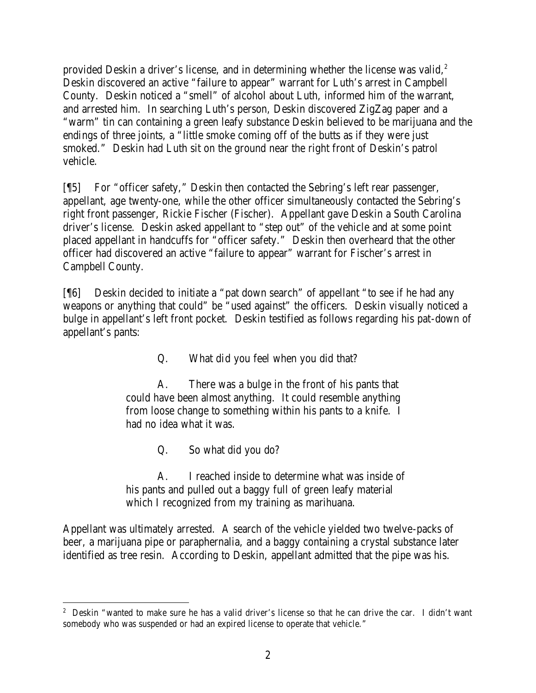provided Deskin a driver's license, and in determining whether the license was valid, $2$ Deskin discovered an active "failure to appear" warrant for Luth's arrest in Campbell County. Deskin noticed a "smell" of alcohol about Luth, informed him of the warrant, and arrested him. In searching Luth's person, Deskin discovered ZigZag paper and a "warm" tin can containing a green leafy substance Deskin believed to be marijuana and the endings of three joints, a "little smoke coming off of the butts as if they were just smoked." Deskin had Luth sit on the ground near the right front of Deskin's patrol vehicle.

[¶5] For "officer safety," Deskin then contacted the Sebring's left rear passenger, appellant, age twenty-one, while the other officer simultaneously contacted the Sebring's right front passenger, Rickie Fischer (Fischer). Appellant gave Deskin a South Carolina driver's license. Deskin asked appellant to "step out" of the vehicle and at some point placed appellant in handcuffs for "officer safety." Deskin then overheard that the other officer had discovered an active "failure to appear" warrant for Fischer's arrest in Campbell County.

[¶6] Deskin decided to initiate a "pat down search" of appellant "to see if he had any weapons or anything that could" be "used against" the officers. Deskin visually noticed a bulge in appellant's left front pocket. Deskin testified as follows regarding his pat-down of appellant's pants:

Q. What did you feel when you did that?

A. There was a bulge in the front of his pants that could have been almost anything. It could resemble anything from loose change to something within his pants to a knife. I had no idea what it was.

Q. So what did you do?

A. I reached inside to determine what was inside of his pants and pulled out a baggy full of green leafy material which I recognized from my training as marihuana.

Appellant was ultimately arrested. A search of the vehicle yielded two twelve-packs of beer, a marijuana pipe or paraphernalia, and a baggy containing a crystal substance later identified as tree resin. According to Deskin, appellant admitted that the pipe was his.

 <sup>2</sup> Deskin "wanted to make sure he has a valid driver's license so that he can drive the car. I didn't want somebody who was suspended or had an expired license to operate that vehicle."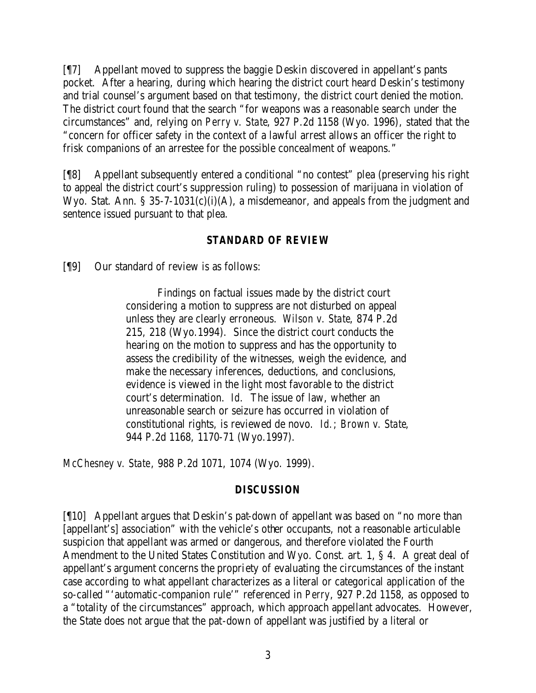[¶7] Appellant moved to suppress the baggie Deskin discovered in appellant's pants pocket. After a hearing, during which hearing the district court heard Deskin's testimony and trial counsel's argument based on that testimony, the district court denied the motion. The district court found that the search "for weapons was a reasonable search under the circumstances" and, relying on *Perry v. State*, 927 P.2d 1158 (Wyo. 1996), stated that the "concern for officer safety in the context of a lawful arrest allows an officer the right to frisk companions of an arrestee for the possible concealment of weapons."

[¶8] Appellant subsequently entered a conditional "no contest" plea (preserving his right to appeal the district court's suppression ruling) to possession of marijuana in violation of Wyo. Stat. Ann. § 35-7-1031(c)(i)(A), a misdemeanor, and appeals from the judgment and sentence issued pursuant to that plea.

### *STANDARD OF REVIEW*

[¶9] Our standard of review is as follows:

Findings on factual issues made by the district court considering a motion to suppress are not disturbed on appeal unless they are clearly erroneous. *Wilson v. State*, 874 P.2d 215, 218 (Wyo.1994). Since the district court conducts the hearing on the motion to suppress and has the opportunity to assess the credibility of the witnesses, weigh the evidence, and make the necessary inferences, deductions, and conclusions, evidence is viewed in the light most favorable to the district court's determination. *Id.* The issue of law, whether an unreasonable search or seizure has occurred in violation of constitutional rights, is reviewed de novo. *Id.*; *Brown v. State*, 944 P.2d 1168, 1170-71 (Wyo.1997).

*McChesney v. State*, 988 P.2d 1071, 1074 (Wyo. 1999).

#### *DISCUSSION*

[¶10] Appellant argues that Deskin's pat-down of appellant was based on "no more than [appellant's] association" with the vehicle's other occupants, not a reasonable articulable suspicion that appellant was armed or dangerous, and therefore violated the Fourth Amendment to the United States Constitution and Wyo. Const. art. 1, § 4. A great deal of appellant's argument concerns the propriety of evaluating the circumstances of the instant case according to what appellant characterizes as a literal or categorical application of the so-called "'automatic-companion rule'" referenced in *Perry*, 927 P.2d 1158, as opposed to a "totality of the circumstances" approach, which approach appellant advocates. However, the State does not argue that the pat-down of appellant was justified by a literal or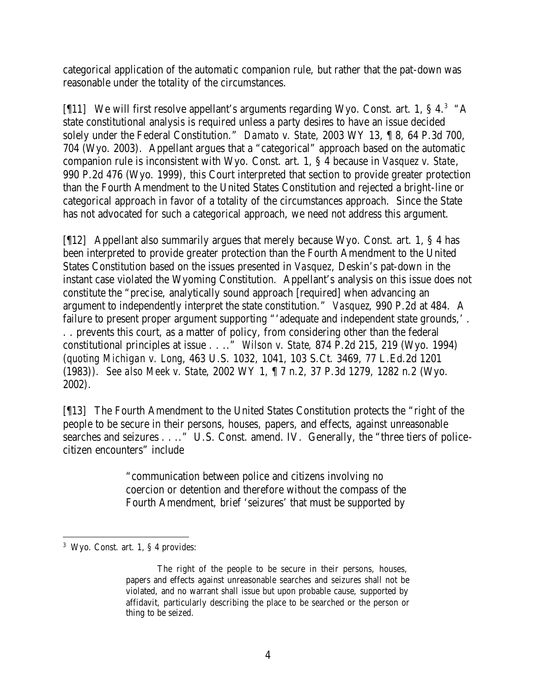categorical application of the automatic companion rule, but rather that the pat-down was reasonable under the totality of the circumstances.

[ $[11]$  We will first resolve appellant's arguments regarding Wyo. Const. art. 1, § 4.<sup>3</sup>  $A$ state constitutional analysis is required unless a party desires to have an issue decided solely under the Federal Constitution." *Damato v. State*, 2003 WY 13, ¶ 8, 64 P.3d 700, 704 (Wyo. 2003). Appellant argues that a "categorical" approach based on the automatic companion rule is inconsistent with Wyo. Const. art. 1, § 4 because in *Vasquez v. State*, 990 P.2d 476 (Wyo. 1999), this Court interpreted that section to provide greater protection than the Fourth Amendment to the United States Constitution and rejected a bright-line or categorical approach in favor of a totality of the circumstances approach. Since the State has not advocated for such a categorical approach, we need not address this argument.

[¶12] Appellant also summarily argues that merely because Wyo. Const. art. 1, § 4 has been interpreted to provide greater protection than the Fourth Amendment to the United States Constitution based on the issues presented in *Vasquez*, Deskin's pat-down in the instant case violated the Wyoming Constitution. Appellant's analysis on this issue does not constitute the "precise, analytically sound approach [required] when advancing an argument to independently interpret the state constitution." *Vasquez*, 990 P.2d at 484. A failure to present proper argument supporting "'adequate and independent state grounds,' . . . prevents this court, as a matter of policy, from considering other than the federal constitutional principles at issue . . .." *Wilson v. State*, 874 P.2d 215, 219 (Wyo. 1994) (*quoting Michigan v. Long*, 463 U.S. 1032, 1041, 103 S.Ct. 3469, 77 L.Ed.2d 1201 (1983)). *See also Meek v. State*, 2002 WY 1, ¶ 7 n.2, 37 P.3d 1279, 1282 n.2 (Wyo. 2002).

[¶13] The Fourth Amendment to the United States Constitution protects the "right of the people to be secure in their persons, houses, papers, and effects, against unreasonable searches and seizures . . .." U.S. Const. amend. IV. Generally, the "three tiers of policecitizen encounters" include

> "communication between police and citizens involving no coercion or detention and therefore without the compass of the Fourth Amendment, brief 'seizures' that must be supported by

<sup>3</sup> Wyo. Const. art. 1, § 4 provides:

The right of the people to be secure in their persons, houses, papers and effects against unreasonable searches and seizures shall not be violated, and no warrant shall issue but upon probable cause, supported by affidavit, particularly describing the place to be searched or the person or thing to be seized.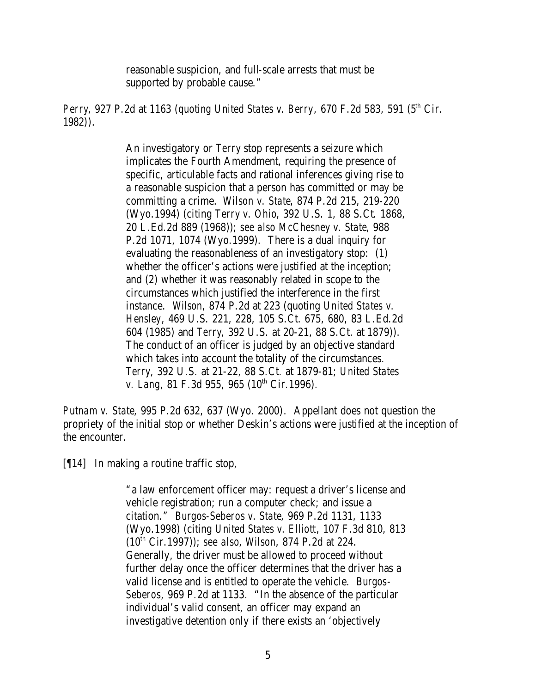reasonable suspicion, and full-scale arrests that must be supported by probable cause."

*Perry*, 927 P.2d at 1163 (*quoting United States v. Berry*, 670 F.2d 583, 591 (5<sup>th</sup> Cir. 1982)).

> An investigatory or *Terry* stop represents a seizure which implicates the Fourth Amendment, requiring the presence of specific, articulable facts and rational inferences giving rise to a reasonable suspicion that a person has committed or may be committing a crime. *Wilson v. State*, 874 P.2d 215, 219-220 (Wyo.1994) (citing *Terry v. Ohio*, 392 U.S. 1, 88 S.Ct. 1868, 20 L.Ed.2d 889 (1968)); *see also McChesney v. State*, 988 P.2d 1071, 1074 (Wyo.1999). There is a dual inquiry for evaluating the reasonableness of an investigatory stop: (1) whether the officer's actions were justified at the inception; and (2) whether it was reasonably related in scope to the circumstances which justified the interference in the first instance. *Wilson*, 874 P.2d at 223 (quoting *United States v. Hensley*, 469 U.S. 221, 228, 105 S.Ct. 675, 680, 83 L.Ed.2d 604 (1985) and *Terry*, 392 U.S. at 20-21, 88 S.Ct. at 1879)). The conduct of an officer is judged by an objective standard which takes into account the totality of the circumstances. *Terry*, 392 U.S. at 21-22, 88 S.Ct. at 1879-81; *United States v. Lang*, 81 F.3d 955, 965 (10<sup>th</sup> Cir.1996).

*Putnam v. State*, 995 P.2d 632, 637 (Wyo. 2000). Appellant does not question the propriety of the initial stop or whether Deskin's actions were justified at the inception of the encounter.

[¶14] In making a routine traffic stop,

"a law enforcement officer may: request a driver's license and vehicle registration; run a computer check; and issue a citation." *Burgos-Seberos v. State*, 969 P.2d 1131, 1133 (Wyo.1998) (citing *United States v. Elliott*, 107 F.3d 810, 813 (10th Cir.1997)); *see also*, *Wilson*, 874 P.2d at 224. Generally, the driver must be allowed to proceed without further delay once the officer determines that the driver has a valid license and is entitled to operate the vehicle. *Burgos-Seberos*, 969 P.2d at 1133. "In the absence of the particular individual's valid consent, an officer may expand an investigative detention only if there exists an 'objectively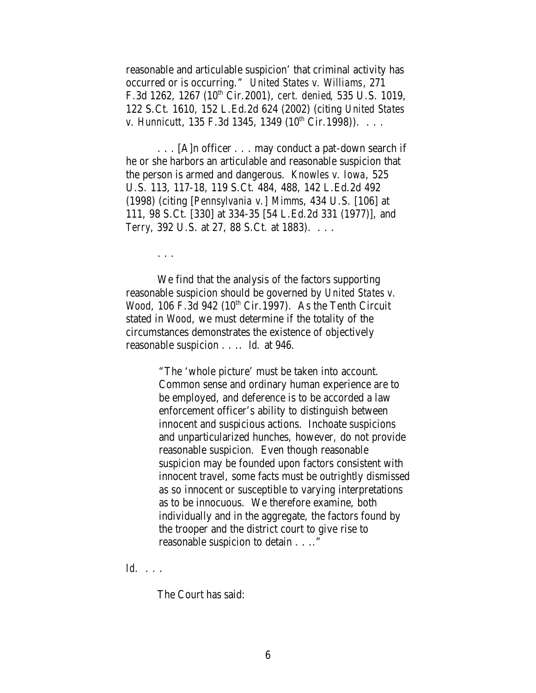reasonable and articulable suspicion' that criminal activity has occurred or is occurring." *United States v. Williams*, 271 F.3d 1262, 1267 (10th Cir.2001), *cert. denied*, 535 U.S. 1019, 122 S.Ct. 1610, 152 L.Ed.2d 624 (2002) (citing *United States v. Hunnicutt*,  $135$  F.3d  $1345$ ,  $1349$   $(10^{th}$  Cir.1998)). . . .

. . . [A]n officer . . . may conduct a pat-down search if he or she harbors an articulable and reasonable suspicion that the person is armed and dangerous. *Knowles v. Iowa*, 525 U.S. 113, 117-18, 119 S.Ct. 484, 488, 142 L.Ed.2d 492 (1998) (citing [*Pennsylvania v.*] *Mimms*, 434 U.S. [106] at 111, 98 S.Ct. [330] at 334-35 [54 L.Ed.2d 331 (1977)], and *Terry*, 392 U.S. at 27, 88 S.Ct. at 1883). . . .

. . .

We find that the analysis of the factors supporting reasonable suspicion should be governed by *United States v. Wood*, 106 F.3d 942 (10<sup>th</sup> Cir.1997). As the Tenth Circuit stated in *Wood*, we must determine if the totality of the circumstances demonstrates the existence of objectively reasonable suspicion . . .. *Id.* at 946.

> "The 'whole picture' must be taken into account. Common sense and ordinary human experience are to be employed, and deference is to be accorded a law enforcement officer's ability to distinguish between innocent and suspicious actions. Inchoate suspicions and unparticularized hunches, however, do not provide reasonable suspicion. Even though reasonable suspicion may be founded upon factors consistent with innocent travel, some facts must be outrightly dismissed as so innocent or susceptible to varying interpretations as to be innocuous. We therefore examine, both individually and in the aggregate, the factors found by the trooper and the district court to give rise to reasonable suspicion to detain . . .."

*Id.* . . .

The Court has said: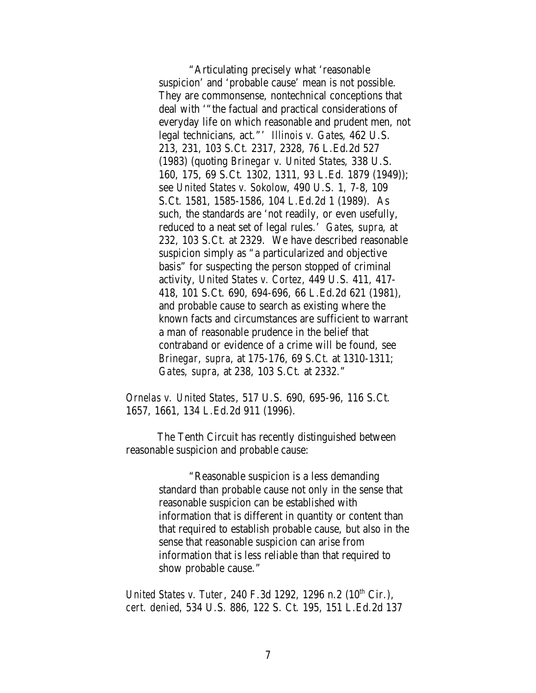"Articulating precisely what 'reasonable suspicion' and 'probable cause' mean is not possible. They are commonsense, nontechnical conceptions that deal with '"the factual and practical considerations of everyday life on which reasonable and prudent men, not legal technicians, act."' *Illinois v. Gates*, 462 U.S. 213, 231, 103 S.Ct. 2317, 2328, 76 L.Ed.2d 527 (1983) (quoting *Brinegar v. United States*, 338 U.S. 160, 175, 69 S.Ct. 1302, 1311, 93 L.Ed. 1879 (1949)); see *United States v. Sokolow*, 490 U.S. 1, 7-8, 109 S.Ct. 1581, 1585-1586, 104 L.Ed.2d 1 (1989). As such, the standards are 'not readily, or even usefully, reduced to a neat set of legal rules.' *Gates*, *supra*, at 232, 103 S.Ct. at 2329. We have described reasonable suspicion simply as "a particularized and objective basis" for suspecting the person stopped of criminal activity, *United States v. Cortez*, 449 U.S. 411, 417- 418, 101 S.Ct. 690, 694-696, 66 L.Ed.2d 621 (1981), and probable cause to search as existing where the known facts and circumstances are sufficient to warrant a man of reasonable prudence in the belief that contraband or evidence of a crime will be found, see *Brinegar*, *supra*, at 175-176, 69 S.Ct. at 1310-1311; *Gates*, *supra*, at 238, 103 S.Ct. at 2332."

*Ornelas v. United States*, 517 U.S. 690, 695-96, 116 S.Ct. 1657, 1661, 134 L.Ed.2d 911 (1996).

The Tenth Circuit has recently distinguished between reasonable suspicion and probable cause:

> "Reasonable suspicion is a less demanding standard than probable cause not only in the sense that reasonable suspicion can be established with information that is different in quantity or content than that required to establish probable cause, but also in the sense that reasonable suspicion can arise from information that is less reliable than that required to show probable cause."

*United States v. Tuter*, 240 F.3d 1292, 1296 n.2 (10<sup>th</sup> Cir.), *cert. denied*, 534 U.S. 886, 122 S. Ct. 195, 151 L.Ed.2d 137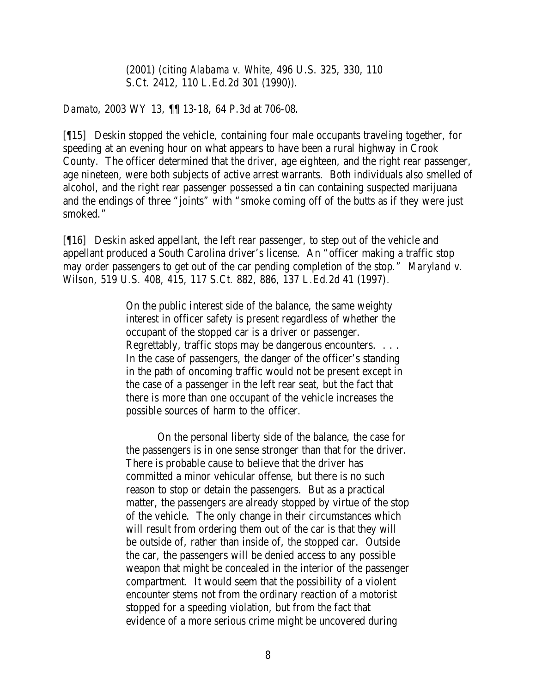(2001) (citing *Alabama v. White*, 496 U.S. 325, 330, 110 S.Ct. 2412, 110 L.Ed.2d 301 (1990)).

*Damato*, 2003 WY 13, ¶¶ 13-18, 64 P.3d at 706-08.

[¶15] Deskin stopped the vehicle, containing four male occupants traveling together, for speeding at an evening hour on what appears to have been a rural highway in Crook County. The officer determined that the driver, age eighteen, and the right rear passenger, age nineteen, were both subjects of active arrest warrants. Both individuals also smelled of alcohol, and the right rear passenger possessed a tin can containing suspected marijuana and the endings of three "joints" with "smoke coming off of the butts as if they were just smoked."

[¶16] Deskin asked appellant, the left rear passenger, to step out of the vehicle and appellant produced a South Carolina driver's license. An "officer making a traffic stop may order passengers to get out of the car pending completion of the stop." *Maryland v. Wilson*, 519 U.S. 408, 415, 117 S.Ct. 882, 886, 137 L.Ed.2d 41 (1997).

> On the public interest side of the balance, the same weighty interest in officer safety is present regardless of whether the occupant of the stopped car is a driver or passenger. Regrettably, traffic stops may be dangerous encounters. . . . In the case of passengers, the danger of the officer's standing in the path of oncoming traffic would not be present except in the case of a passenger in the left rear seat, but the fact that there is more than one occupant of the vehicle increases the possible sources of harm to the officer.

On the personal liberty side of the balance, the case for the passengers is in one sense stronger than that for the driver. There is probable cause to believe that the driver has committed a minor vehicular offense, but there is no such reason to stop or detain the passengers. But as a practical matter, the passengers are already stopped by virtue of the stop of the vehicle. The only change in their circumstances which will result from ordering them out of the car is that they will be outside of, rather than inside of, the stopped car. Outside the car, the passengers will be denied access to any possible weapon that might be concealed in the interior of the passenger compartment. It would seem that the possibility of a violent encounter stems not from the ordinary reaction of a motorist stopped for a speeding violation, but from the fact that evidence of a more serious crime might be uncovered during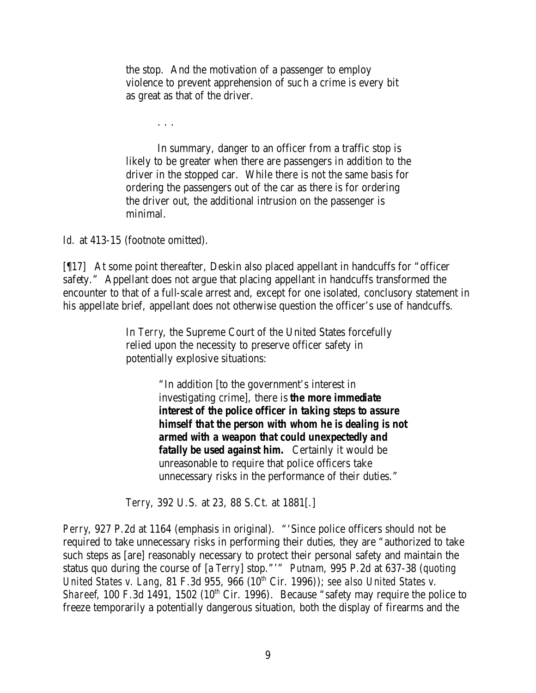the stop. And the motivation of a passenger to employ violence to prevent apprehension of such a crime is every bit as great as that of the driver.

. . .

In summary, danger to an officer from a traffic stop is likely to be greater when there are passengers in addition to the driver in the stopped car. While there is not the same basis for ordering the passengers out of the car as there is for ordering the driver out, the additional intrusion on the passenger is minimal.

Id. at 413-15 (footnote omitted).

[¶17] At some point thereafter, Deskin also placed appellant in handcuffs for "officer safety." Appellant does not argue that placing appellant in handcuffs transformed the encounter to that of a full-scale arrest and, except for one isolated, conclusory statement in his appellate brief, appellant does not otherwise question the officer's use of handcuffs.

> In *Terry*, the Supreme Court of the United States forcefully relied upon the necessity to preserve officer safety in potentially explosive situations:

> > "In addition [to the government's interest in investigating crime], there is *the more immediate interest of the police officer in taking steps to assure himself that the person with whom he is dealing is not armed with a weapon that could unexpectedly and fatally be used against him.* Certainly it would be unreasonable to require that police officers take unnecessary risks in the performance of their duties."

*Terry*, 392 U.S. at 23, 88 S.Ct. at 1881[.]

*Perry*, 927 P.2d at 1164 (emphasis in original). "'Since police officers should not be required to take unnecessary risks in performing their duties, they are "authorized to take such steps as [are] reasonably necessary to protect their personal safety and maintain the status quo during the course of [a *Terry*] stop."'" *Putnam*, 995 P.2d at 637-38 (*quoting United States v. Lang*, 81 F.3d 955, 966 (10<sup>th</sup> Cir. 1996)); *see also United States v. Shareef*, 100 F.3d 1491, 1502 (10<sup>th</sup> Cir. 1996). Because "safety may require the police to freeze temporarily a potentially dangerous situation, both the display of firearms and the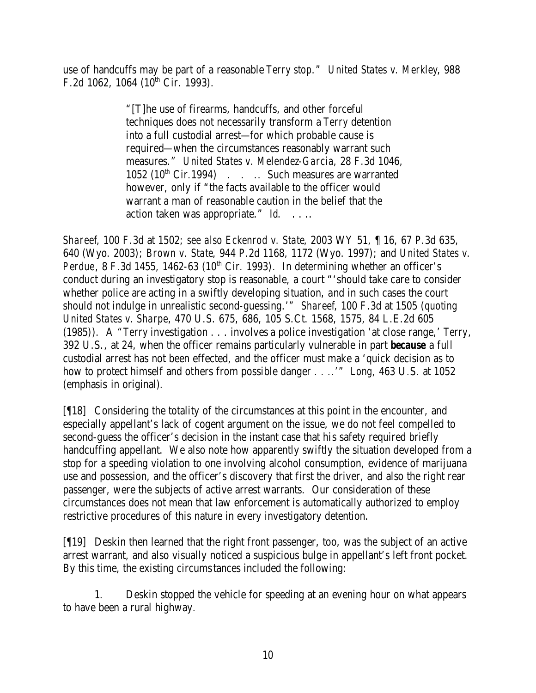use of handcuffs may be part of a reasonable *Terry stop*." *United States v. Merkley*, 988 F.2d 1062, 1064 ( $10^{th}$  Cir. 1993).

> "[T]he use of firearms, handcuffs, and other forceful techniques does not necessarily transform a *Terry* detention into a full custodial arrest—for which probable cause is required—when the circumstances reasonably warrant such measures." *United States v. Melendez-Garcia*, 28 F.3d 1046,  $1052$  ( $10^{th}$  Cir. 1994) . . . Such measures are warranted however, only if "the facts available to the officer would warrant a man of reasonable caution in the belief that the action taken was appropriate." *Id.* . . ..

*Shareef*, 100 F.3d at 1502; *see also Eckenrod v. State*, 2003 WY 51, ¶ 16, 67 P.3d 635, 640 (Wyo. 2003); *Brown v. State*, 944 P.2d 1168, 1172 (Wyo. 1997); and *United States v. Perdue*, 8 F.3d 1455, 1462-63 ( $10^{th}$  Cir. 1993). In determining whether an officer's conduct during an investigatory stop is reasonable, a court "'should take care to consider whether police are acting in a swiftly developing situation, and in such cases the court should not indulge in unrealistic second-guessing.'" *Shareef*, 100 F.3d at 1505 (*quoting United States v. Sharpe*, 470 U.S. 675, 686, 105 S.Ct. 1568, 1575, 84 L.E.2d 605 (1985)). A "*Terry* investigation . . . involves a police investigation 'at close range,' *Terry*, 392 U.S., at 24, when the officer remains particularly vulnerable in part *because* a full custodial arrest has not been effected, and the officer must make a 'quick decision as to how to protect himself and others from possible danger . . ..'" *Long*, 463 U.S. at 1052 (emphasis in original).

[¶18] Considering the totality of the circumstances at this point in the encounter, and especially appellant's lack of cogent argument on the issue, we do not feel compelled to second-guess the officer's decision in the instant case that his safety required briefly handcuffing appellant. We also note how apparently swiftly the situation developed from a stop for a speeding violation to one involving alcohol consumption, evidence of marijuana use and possession, and the officer's discovery that first the driver, and also the right rear passenger, were the subjects of active arrest warrants. Our consideration of these circumstances does not mean that law enforcement is automatically authorized to employ restrictive procedures of this nature in every investigatory detention.

[¶19] Deskin then learned that the right front passenger, too, was the subject of an active arrest warrant, and also visually noticed a suspicious bulge in appellant's left front pocket. By this time, the existing circumstances included the following:

1. Deskin stopped the vehicle for speeding at an evening hour on what appears to have been a rural highway.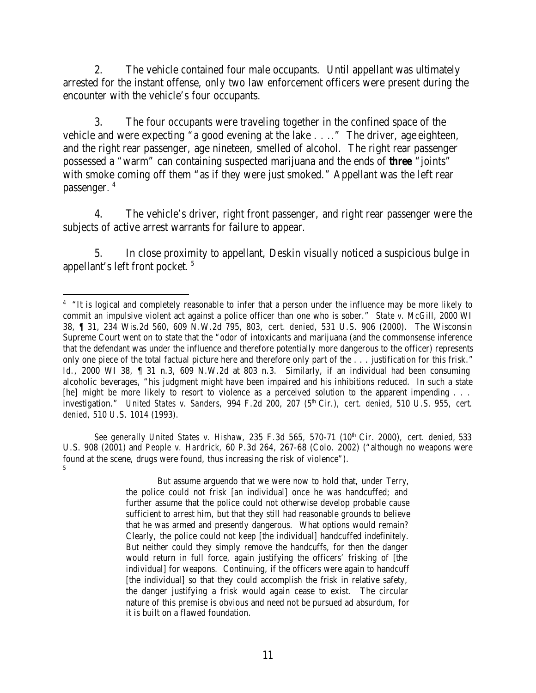2. The vehicle contained four male occupants. Until appellant was ultimately arrested for the instant offense, only two law enforcement officers were present during the encounter with the vehicle's four occupants.

3. The four occupants were traveling together in the confined space of the vehicle and were expecting "a good evening at the lake . . .." The driver, age eighteen, and the right rear passenger, age nineteen, smelled of alcohol. The right rear passenger possessed a "warm" can containing suspected marijuana and the ends of *three* "joints" with smoke coming off them "as if they were just smoked." Appellant was the left rear passenger. <sup>4</sup>

4. The vehicle's driver, right front passenger, and right rear passenger were the subjects of active arrest warrants for failure to appear.

5. In close proximity to appellant, Deskin visually noticed a suspicious bulge in appellant's left front pocket. <sup>5</sup>

*See generally United States v. Hishaw*, 235 F.3d 565, 570-71 (10th Cir. 2000), *cert. denied*, 533 U.S. 908 (2001) and *People v. Hardrick*, 60 P.3d 264, 267-68 (Colo. 2002) ("although no weapons were found at the scene, drugs were found, thus increasing the risk of violence"). 5

> But assume arguendo that we were now to hold that, under *Terry*, the police could not frisk [an individual] once he was handcuffed; and further assume that the police could not otherwise develop probable cause sufficient to arrest him, but that they still had reasonable grounds to believe that he was armed and presently dangerous. What options would remain? Clearly, the police could not keep [the individual] handcuffed indefinitely. But neither could they simply remove the handcuffs, for then the danger would return in full force, again justifying the officers' frisking of [the individual] for weapons. Continuing, if the officers were again to handcuff [the individual] so that they could accomplish the frisk in relative safety, the danger justifying a frisk would again cease to exist. The circular nature of this premise is obvious and need not be pursued ad absurdum, for it is built on a flawed foundation.

 <sup>4</sup> "It is logical and completely reasonable to infer that a person under the influence may be more likely to commit an impulsive violent act against a police officer than one who is sober." *State v. McGill*, 2000 WI 38, ¶ 31, 234 Wis.2d 560, 609 N.W.2d 795, 803, *cert. denied*, 531 U.S. 906 (2000). The Wisconsin Supreme Court went on to state that the "odor of intoxicants and marijuana (and the commonsense inference that the defendant was under the influence and therefore potentially more dangerous to the officer) represents only one piece of the total factual picture here and therefore only part of the . . . justification for this frisk." *Id.*, 2000 WI 38, ¶ 31 n.3, 609 N.W.2d at 803 n.3. Similarly, if an individual had been consuming alcoholic beverages, "his judgment might have been impaired and his inhibitions reduced. In such a state [he] might be more likely to resort to violence as a perceived solution to the apparent impending . . . investigation." *United States v. Sanders, 994 F.2d 200, 207* (5<sup>th</sup> Cir.), *cert. denied*, 510 U.S. 955, *cert. denied*, 510 U.S. 1014 (1993).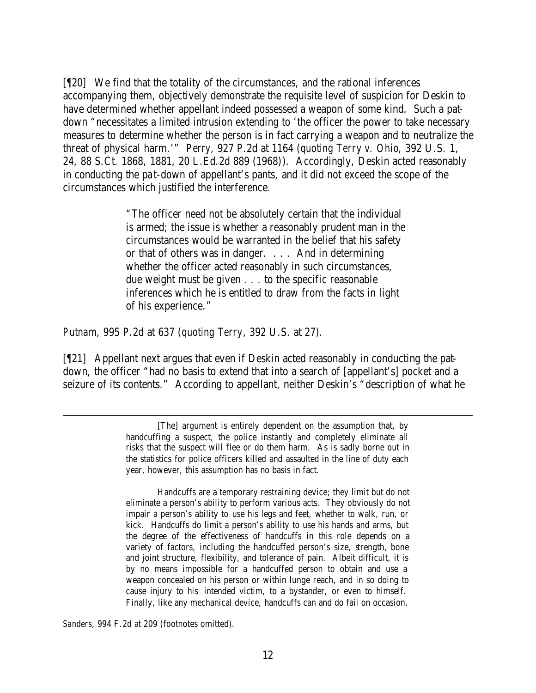[¶20] We find that the totality of the circumstances, and the rational inferences accompanying them, objectively demonstrate the requisite level of suspicion for Deskin to have determined whether appellant indeed possessed a weapon of some kind. Such a patdown "necessitates a limited intrusion extending to 'the officer the power to take necessary measures to determine whether the person is in fact carrying a weapon and to neutralize the threat of physical harm.'" *Perry*, 927 P.2d at 1164 (*quoting Terry v. Ohio*, 392 U.S. 1, 24, 88 S.Ct. 1868, 1881, 20 L.Ed.2d 889 (1968)). Accordingly, Deskin acted reasonably in conducting the pat-down of appellant's pants, and it did not exceed the scope of the circumstances which justified the interference.

> "The officer need not be absolutely certain that the individual is armed; the issue is whether a reasonably prudent man in the circumstances would be warranted in the belief that his safety or that of others was in danger. . . . And in determining whether the officer acted reasonably in such circumstances, due weight must be given . . . to the specific reasonable inferences which he is entitled to draw from the facts in light of his experience."

*Putnam*, 995 P.2d at 637 (*quoting Terry*, 392 U.S. at 27).

[¶21] Appellant next argues that even if Deskin acted reasonably in conducting the patdown, the officer "had no basis to extend that into a search of [appellant's] pocket and a seizure of its contents." According to appellant, neither Deskin's "description of what he

Handcuffs are a temporary restraining device; they limit but do not eliminate a person's ability to perform various acts. They obviously do not impair a person's ability to use his legs and feet, whether to walk, run, or kick. Handcuffs do limit a person's ability to use his hands and arms, but the degree of the effectiveness of handcuffs in this role depends on a variety of factors, including the handcuffed person's size, strength, bone and joint structure, flexibility, and tolerance of pain. Albeit difficult, it is by no means impossible for a handcuffed person to obtain and use a weapon concealed on his person or within lunge reach, and in so doing to cause injury to his intended victim, to a bystander, or even to himself. Finally, like any mechanical device, handcuffs can and do fail on occasion.

*Sanders*, 994 F.2d at 209 (footnotes omitted).

<sup>[</sup>The] argument is entirely dependent on the assumption that, by handcuffing a suspect, the police instantly and completely eliminate all risks that the suspect will flee or do them harm. As is sadly borne out in the statistics for police officers killed and assaulted in the line of duty each year, however, this assumption has no basis in fact.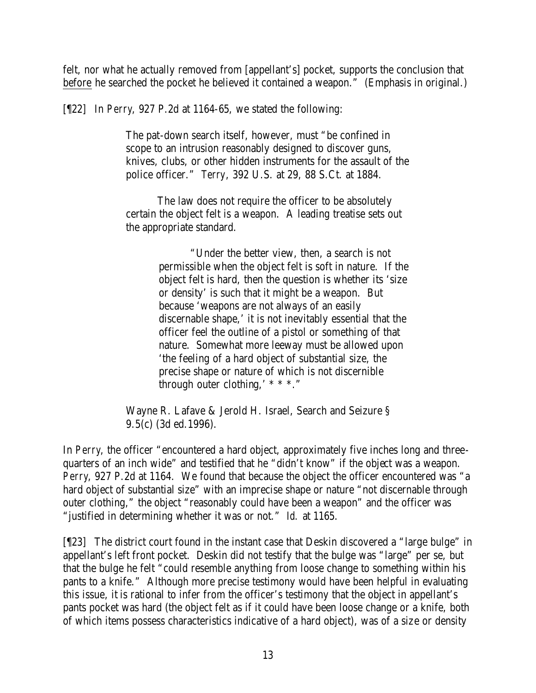felt, nor what he actually removed from [appellant's] pocket, supports the conclusion that before he searched the pocket he believed it contained a weapon." (Emphasis in original.)

[¶22] In *Perry*, 927 P.2d at 1164-65, we stated the following:

The pat-down search itself, however, must "be confined in scope to an intrusion reasonably designed to discover guns, knives, clubs, or other hidden instruments for the assault of the police officer." *Terry*, 392 U.S. at 29, 88 S.Ct. at 1884.

The law does not require the officer to be absolutely certain the object felt is a weapon. A leading treatise sets out the appropriate standard.

> "Under the better view, then, a search is not permissible when the object felt is soft in nature. If the object felt is hard, then the question is whether its 'size or density' is such that it might be a weapon. But because 'weapons are not always of an easily discernable shape,' it is not inevitably essential that the officer feel the outline of a pistol or something of that nature. Somewhat more leeway must be allowed upon 'the feeling of a hard object of substantial size, the precise shape or nature of which is not discernible through outer clothing,  $* * *$ ."

Wayne R. Lafave & Jerold H. Israel, Search and Seizure § 9.5(c) (3d ed.1996).

In *Perry*, the officer "encountered a hard object, approximately five inches long and threequarters of an inch wide" and testified that he "didn't know" if the object was a weapon. *Perry*, 927 P.2d at 1164. We found that because the object the officer encountered was "a hard object of substantial size" with an imprecise shape or nature "not discernable through outer clothing," the object "reasonably could have been a weapon" and the officer was "justified in determining whether it was or not." *Id.* at 1165.

[¶23] The district court found in the instant case that Deskin discovered a "large bulge" in appellant's left front pocket. Deskin did not testify that the bulge was "large" per se, but that the bulge he felt "could resemble anything from loose change to something within his pants to a knife." Although more precise testimony would have been helpful in evaluating this issue, it is rational to infer from the officer's testimony that the object in appellant's pants pocket was hard (the object felt as if it could have been loose change or a knife, both of which items possess characteristics indicative of a hard object), was of a size or density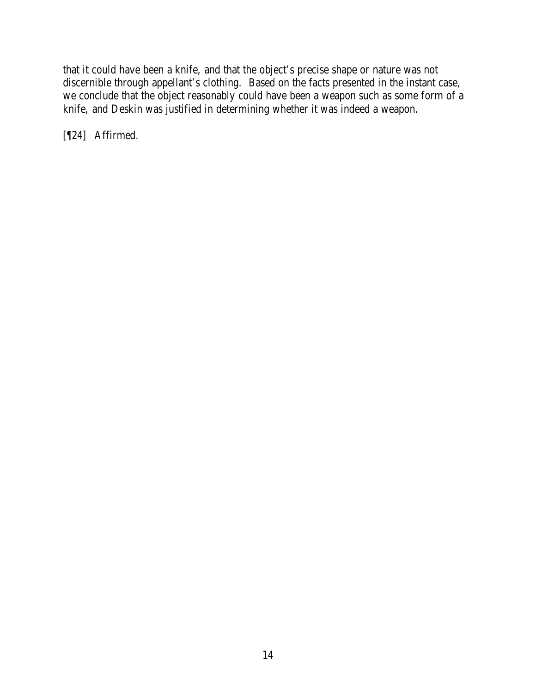that it could have been a knife, and that the object's precise shape or nature was not discernible through appellant's clothing. Based on the facts presented in the instant case, we conclude that the object reasonably could have been a weapon such as some form of a knife, and Deskin was justified in determining whether it was indeed a weapon.

[¶24] Affirmed.